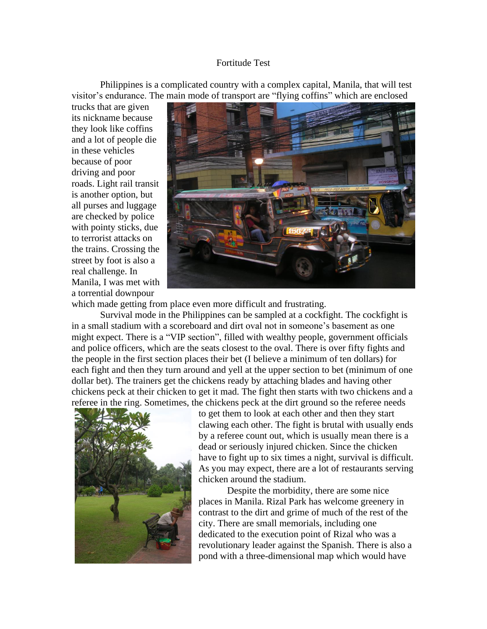## Fortitude Test

Philippines is a complicated country with a complex capital, Manila, that will test visitor's endurance. The main mode of transport are "flying coffins" which are enclosed

trucks that are given its nickname because they look like coffins and a lot of people die in these vehicles because of poor driving and poor roads. Light rail transit is another option, but all purses and luggage are checked by police with pointy sticks, due to terrorist attacks on the trains. Crossing the street by foot is also a real challenge. In Manila, I was met with a torrential downpour



which made getting from place even more difficult and frustrating.

Survival mode in the Philippines can be sampled at a cockfight. The cockfight is in a small stadium with a scoreboard and dirt oval not in someone's basement as one might expect. There is a "VIP section", filled with wealthy people, government officials and police officers, which are the seats closest to the oval. There is over fifty fights and the people in the first section places their bet (I believe a minimum of ten dollars) for each fight and then they turn around and yell at the upper section to bet (minimum of one dollar bet). The trainers get the chickens ready by attaching blades and having other chickens peck at their chicken to get it mad. The fight then starts with two chickens and a referee in the ring. Sometimes, the chickens peck at the dirt ground so the referee needs



to get them to look at each other and then they start clawing each other. The fight is brutal with usually ends by a referee count out, which is usually mean there is a dead or seriously injured chicken. Since the chicken have to fight up to six times a night, survival is difficult. As you may expect, there are a lot of restaurants serving chicken around the stadium.

Despite the morbidity, there are some nice places in Manila. Rizal Park has welcome greenery in contrast to the dirt and grime of much of the rest of the city. There are small memorials, including one dedicated to the execution point of Rizal who was a revolutionary leader against the Spanish. There is also a pond with a three-dimensional map which would have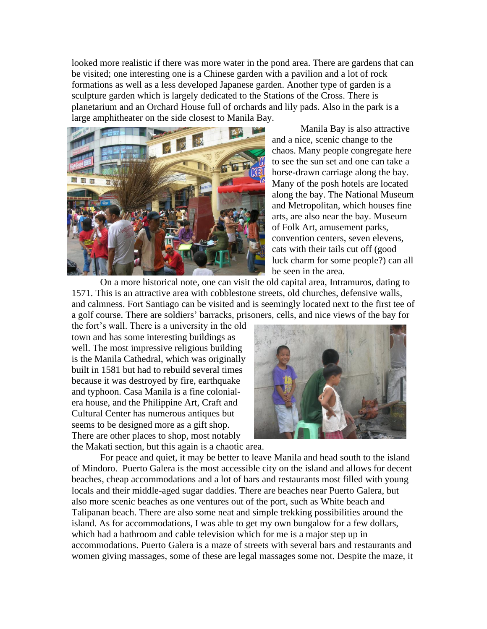looked more realistic if there was more water in the pond area. There are gardens that can be visited; one interesting one is a Chinese garden with a pavilion and a lot of rock formations as well as a less developed Japanese garden. Another type of garden is a sculpture garden which is largely dedicated to the Stations of the Cross. There is planetarium and an Orchard House full of orchards and lily pads. Also in the park is a large amphitheater on the side closest to Manila Bay.



Manila Bay is also attractive and a nice, scenic change to the chaos. Many people congregate here to see the sun set and one can take a horse-drawn carriage along the bay. Many of the posh hotels are located along the bay. The National Museum and Metropolitan, which houses fine arts, are also near the bay. Museum of Folk Art, amusement parks, convention centers, seven elevens, cats with their tails cut off (good luck charm for some people?) can all be seen in the area.

On a more historical note, one can visit the old capital area, Intramuros, dating to 1571. This is an attractive area with cobblestone streets, old churches, defensive walls, and calmness. Fort Santiago can be visited and is seemingly located next to the first tee of a golf course. There are soldiers' barracks, prisoners, cells, and nice views of the bay for

the fort's wall. There is a university in the old town and has some interesting buildings as well. The most impressive religious building is the Manila Cathedral, which was originally built in 1581 but had to rebuild several times because it was destroyed by fire, earthquake and typhoon. Casa Manila is a fine colonialera house, and the Philippine Art, Craft and Cultural Center has numerous antiques but seems to be designed more as a gift shop. There are other places to shop, most notably the Makati section, but this again is a chaotic area.



For peace and quiet, it may be better to leave Manila and head south to the island of Mindoro. Puerto Galera is the most accessible city on the island and allows for decent beaches, cheap accommodations and a lot of bars and restaurants most filled with young locals and their middle-aged sugar daddies. There are beaches near Puerto Galera, but also more scenic beaches as one ventures out of the port, such as White beach and Talipanan beach. There are also some neat and simple trekking possibilities around the island. As for accommodations, I was able to get my own bungalow for a few dollars, which had a bathroom and cable television which for me is a major step up in accommodations. Puerto Galera is a maze of streets with several bars and restaurants and women giving massages, some of these are legal massages some not. Despite the maze, it